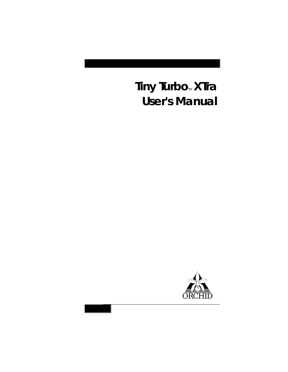# Tiny Turbo<sub>™</sub> XTra **User's Manual**

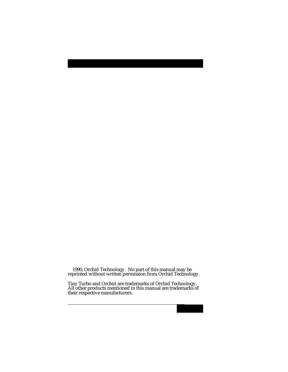1990, Orchid Technology. No part of this manual may be reprinted without written permission from Orchid Technology.

Tiny Turbo and Orchid are trademarks of Orchid Technology. All other products mentioned in this manual are trademarks of their respective manufacturers.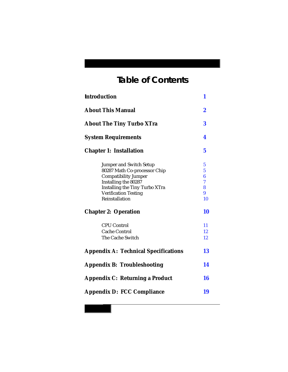# **Table of Contents**

| <b>Introduction</b>                           | 1                       |
|-----------------------------------------------|-------------------------|
| <b>About This Manual</b>                      | $\boldsymbol{2}$        |
| <b>About The Tiny Turbo XTra</b>              | 3                       |
| <b>System Requirements</b>                    | 4                       |
| <b>Chapter 1: Installation</b>                | 5                       |
| <b>Jumper and Switch Setup</b>                | $\overline{\mathbf{5}}$ |
| 80287 Math Co-processor Chip                  | 5                       |
| <b>Compatibility Jumper</b>                   | 6                       |
| Installing the 80287                          | 7                       |
| <b>Installing the Tiny Turbo XTra</b>         | 8                       |
| <b>Verification Testing</b><br>Reinstallation | 9<br>10                 |
| <b>Chapter 2: Operation</b>                   | 10                      |
| <b>CPU Control</b>                            | 11                      |
| Cache Control                                 | 12                      |
| The Cache Switch                              | 12                      |
| <b>Appendix A: Technical Specifications</b>   | 13                      |
| <b>Appendix B: Troubleshooting</b>            | 14                      |
| <b>Appendix C: Returning a Product</b>        | 16                      |
| <b>Appendix D: FCC Compliance</b>             | 19                      |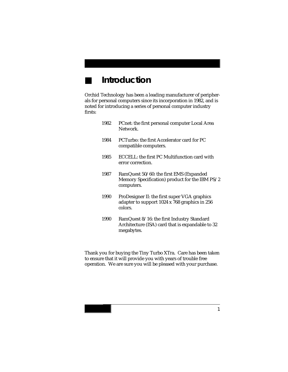# <span id="page-3-0"></span>■ **Introduction**

Orchid Technology has been a leading manufacturer of peripherals for personal computers since its incorporation in 1982, and is noted for introducing a series of personal computer industry firsts:

| 1982 | PCnet: the first personal computer Local Area<br>Network.                                                    |
|------|--------------------------------------------------------------------------------------------------------------|
| 1984 | PCTurbo: the first Accelerator card for PC<br>compatible computers.                                          |
| 1985 | ECCELL: the first PC Multifunction card with<br>error correction.                                            |
| 1987 | RamQuest 50/60: the first EMS (Expanded<br>Memory Specification) product for the IBM PS/2<br>computers.      |
| 1990 | ProDesigner II: the first super VGA graphics<br>adapter to support 1024 x 768 graphics in 256<br>colors.     |
| 1990 | RamQuest 8/16: the first Industry Standard<br>Architecture (ISA) card that is expandable to 32<br>megabytes. |

Thank you for buying the Tiny Turbo XTra. Care has been taken to ensure that it will provide you with years of trouble free operation. We are sure you will be pleased with your purchase.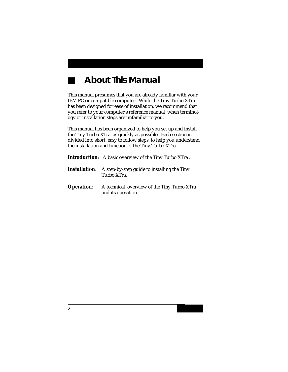# ■ **About This Manual**

<span id="page-4-0"></span>This manual presumes that you are already familiar with your IBM PC or compatible computer. While the Tiny Turbo XTra has been designed for ease of installation, we recommend that you refer to your computer's reference manual when terminology or installation steps are unfamiliar to you.

This manual has been organized to help you set up and install the Tiny Turbo XTra as quickly as possible. Each section is divided into short, easy to follow steps, to help you understand the installation and function of the Tiny Turbo XTra

|                   | <b>Introduction:</b> A basic overview of the Tiny Turbo XTra.                   |
|-------------------|---------------------------------------------------------------------------------|
|                   | <b>Installation:</b> A step-by-step guide to installing the Tiny<br>Turbo XTra. |
| <b>Operation:</b> | A technical overview of the Tiny Turbo XTra<br>and its operation.               |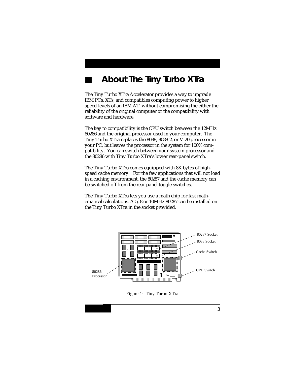## <span id="page-5-0"></span>■ **About The Tiny Turbo XTra**

The Tiny Turbo XTra Accelerator provides a way to upgrade IBM PCs, XTs, and compatibles computing power to higher speed levels of an IBM AT without compromising the either the reliability of the original computer or the compatibility with software and hardware.

The key to compatibility is the CPU switch between the 12MHz 80286 and the original processor used in your computer. The Tiny Turbo XTra replaces the 8088, 8088-2, or V-20 processor in your PC, but leaves the processor in the system for 100% compatibility. You can switch between your system processor and the 80286 with Tiny Turbo XTra's lower rear-panel switch.

The Tiny Turbo XTra comes equipped with 8K bytes of highspeed cache memory. For the few applications that will not load in a caching environment, the 80287 and the cache memory can be switched off from the rear panel toggle switches.

The Tiny Turbo XTra lets you use a math chip for fast mathematical calculations. A 5, 8 or 10MHz 80287 can be installed on the Tiny Turbo XTra in the socket provided.



Figure 1: Tiny Turbo XTra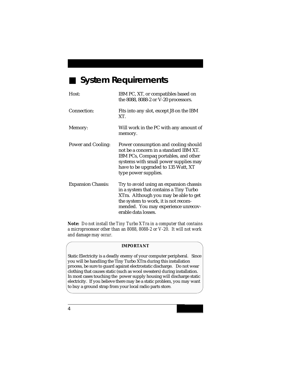## <span id="page-6-0"></span>■ **System Requirements**

| Host:                     | IBM PC, XT, or compatibles based on<br>the 8088, 8088-2 or V-20 processors.                                                                                                                                                      |
|---------------------------|----------------------------------------------------------------------------------------------------------------------------------------------------------------------------------------------------------------------------------|
| Connection:               | Fits into any slot, except J8 on the IBM<br>XT.                                                                                                                                                                                  |
| Memory:                   | Will work in the PC with any amount of<br>memory.                                                                                                                                                                                |
| Power and Cooling:        | Power consumption and cooling should<br>not be a concern in a standard IBM XT.<br>IBM PCs, Compaq portables, and other<br>systems with small power supplies may<br>have to be upgraded to 135 Watt, XT<br>type power supplies.   |
| <b>Expansion Chassis:</b> | Try to avoid using an expansion chassis<br>in a system that contains a Tiny Turbo<br>XTra. Although you may be able to get<br>the system to work, it is not recom-<br>mended. You may experience unrecov-<br>erable data losses. |

*Note: Do not install the Tiny Turbo XTra in a computer that contains a microprocessor other than an 8088, 8088-2 or V-20. It will not work and damage may occur.*

#### **IMPORTANT**

Static Electricity is a deadly enemy of your computer peripheral. Since you will be handling the Tiny Turbo XTra during this installation process, be sure to guard against electrostatic discharge. Do not wear clothing that causes static (such as wool sweaters) during installation. In most cases touching the power supply housing will discharge static electricity. If you believe there may be a static problem, you may want to buy a ground strap from your local radio parts store.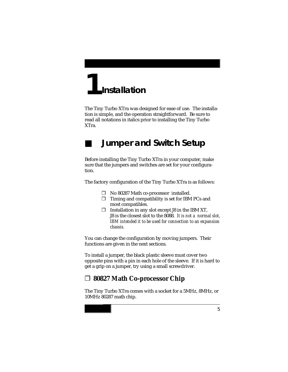# <span id="page-7-0"></span>**Installation 1**

<span id="page-7-1"></span>The Tiny Turbo XTra was designed for ease of use. The installation is simple, and the operation straightforward. Be sure to read all notations in italics prior to installing the Tiny Turbo XTra.

## **Jumper and Switch Setup**

Before installing the Tiny Turbo XTra in your computer, make sure that the jumpers and switches are set for your configuration.

The factory configuration of the Tiny Turbo XTra is as follows:

- ❐ No 80287 Math co-processor installed.
- $\square$  Timing and compatibility is set for IBM PCs and most compatibles.
- $\square$  Installation in any slot except J8 in the IBM XT, J8 is the closest slot to the 8088. *It is not a normal slot, IBM intended it to be used for connection to an expansion chassis.*

You can change the configuration by moving jumpers. Their functions are given in the next sections.

To install a jumper, the black plastic sleeve must cover two opposite pins with a pin in each hole of the sleeve. If it is hard to get a grip on a jumper, try using a small screwdriver.

#### ❐ **80827 Math Co-processor Chip**

The Tiny Turbo XTra comes with a socket for a 5MHz, 8MHz, or 10MHz 80287 math chip.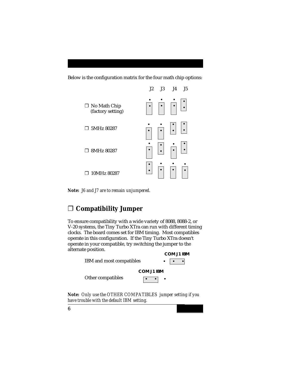<span id="page-8-0"></span>Below is the configuration matrix for the four math chip options:



*Note: J6 and J7 are to remain unjumpered.*

## ❐ **Compatibility Jumper**

To ensure compatibility with a wide variety of 8088, 8088-2, or V-20 systems, the Tiny Turbo XTra can run with different timing clocks. The board comes set for IBM timing. Most compatibles operate in this configuration. If the Tiny Turbo XTra doesn't operate in your compatible, try switching the jumper to the alternate position.



*Note: Only use the OTHER COMPATIBLES jumper setting if you have trouble with the default IBM setting.*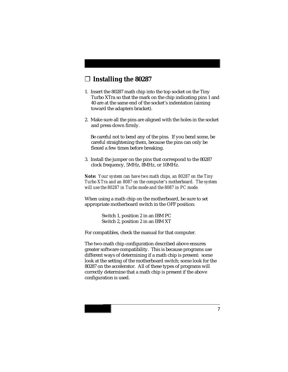#### <span id="page-9-0"></span>❐ **Installing the 80287**

- 1. Insert the 80287 math chip into the top socket on the Tiny Turbo XTra so that the mark on the chip indicating pins 1 and 40 are at the same end of the socket's indentation (aiming toward the adapters bracket).
- 2. Make sure all the pins are aligned with the holes in the socket and press down firmly.

 Be careful not to bend any of the pins. If you bend some, be careful straightening them, because the pins can only be flexed a few times before breaking.

3. Install the jumper on the pins that correspond to the 80287 clock frequency, 5MHz, 8MHz, or 10MHz.

*Note: Your system can have two math chips, an 80287 on the Tiny Turbo XTra and an 8087 on the computer's motherboard. The system will use the 80287 in Turbo mode and the 8087 in PC mode.*

When using a math chip on the motherboard, be sure to set appropriate motherboard switch in the OFF position:

> Switch 1, position 2 in an IBM PC Switch 2, position 2 in an IBM XT

For compatibles, check the manual for that computer.

The two-math chip configuration described above ensures greater software compatibility. This is because programs use different ways of determining if a math chip is present: some look at the setting of the motherboard switch; some look for the 80287 on the accelerator. All of these types of programs will correctly determine that a math chip is present if the above configuration is used.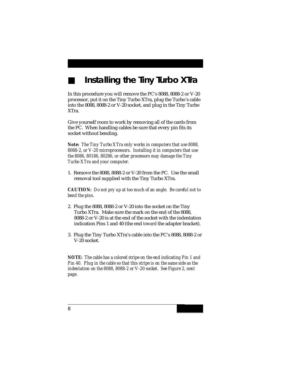# **Installing the Tiny Turbo XTra**

<span id="page-10-0"></span>In this procedure you will remove the PC's 8088, 8088-2 or V-20 processor, put it on the Tiny Turbo XTra, plug the Turbo's cable into the 8088, 8088-2 or V-20 socket, and plug in the Tiny Turbo XTra.

Give yourself room to work by removing all of the cards from the PC. When handling cables be sure that every pin fits its socket without bending.

*Note: The Tiny Turbo XTra only works in computers that use 8088, 8088-2, or V-20 microprocessors. Installing it in computers that use the 8086, 80186, 80286, or other processors may damage the Tiny Turbo XTra and your computer.*

1. Remove the 8088, 8088-2 or V-20 from the PC. Use the small removal tool supplied with the Tiny Turbo XTra.

*CAUTION: Do not pry up at too much of an angle. Be careful not to bend the pins.*

- 2. Plug the 8088, 8088-2 or V-20 into the socket on the Tiny Turbo XTra. Make sure the mark on the end of the 8088, 8088-2 or V-20 is at the end of the socket with the indentation indication Pins 1 and 40 (the end *toward* the adapter bracket).
- 3. Plug the Tiny Turbo XTra's cable into the PC's 8088, 8088-2 or V-20 socket.

*NOTE: The cable has a colored stripe on the end indicating Pin 1 and Pin 40. Plug in the cable so that this stripe is on the same side as the indentation on the 8088, 8088-2 or V-20 socket. See Figure 2, next page.*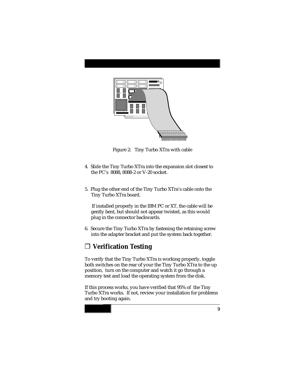

Figure 2: Tiny Turbo XTra with cable

- <span id="page-11-0"></span>4. Slide the Tiny Turbo XTra into the expansion slot closest to the PC's 8088, 8088-2 or V-20 socket.
- 5. Plug the other end of the Tiny Turbo XTra's cable onto the Tiny Turbo XTra board.

 If installed properly in the IBM PC or XT, the cable will be gently bent, but should not appear twisted, as this would plug in the connector backwards.

6. Secure the Tiny Turbo XTra by fastening the retaining screw into the adapter bracket and put the system back together.

#### ❐ **Verification Testing**

To verify that the Tiny Turbo XTra is working properly, toggle both switches on the rear of your the Tiny Turbo XTra to the up position, turn on the computer and watch it go through a memory test and load the operating system from the disk.

If this process works, you have verified that 95% of the Tiny Turbo XTra works. If not, review your installation for problems and try booting again.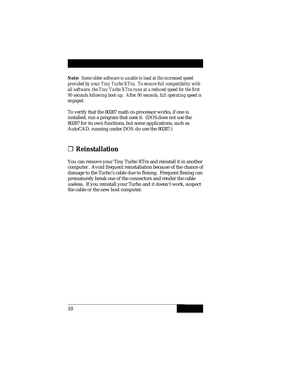<span id="page-12-0"></span>*Note: Some older software is unable to load at the increased speed provided by your Tiny Turbo XTra. To ensure full compatibility with all software, the Tiny Turbo XTra runs at a reduced speed for the first 90 seconds following boot-up. After 90 seconds, full operating speed is engaged.*

To verify that the 80287 math co-processor works, if one is installed, run a program that uses it. (DOS does not use the 80287 for its own functions, but some applications, such as AutoCAD, running under DOS do use the 80287.)

#### ❐ **Reinstallation**

You can remove your Tiny Turbo XTra and reinstall it in another computer. Avoid frequent reinstallation because of the chance of damage to the Turbo's cable due to flexing. Frequent flexing can prematurely break one of the connectors and render the cable useless. If you reinstall your Turbo and it doesn't work, suspect the cable or the new host computer.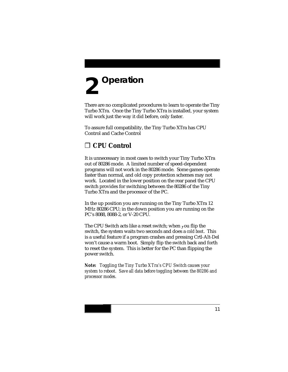# <span id="page-13-0"></span>**Operation 2**

<span id="page-13-1"></span>There are no complicated procedures to learn to operate the Tiny Turbo XTra. Once the Tiny Turbo XTra is installed, your system will work just the way it did before, only faster.

To assure full compatibility, the Tiny Turbo XTra has CPU Control and Cache Control

#### ❐ **CPU Control**

It is unnecessary in most cases to switch your Tiny Turbo XTra out of 80286 mode. A limited number of speed-dependent programs will not work in the 80286 mode. Some games operate faster than normal, and old copy protection schemes may not work. Located in the lower position on the rear panel the CPU switch provides for switching between the 80286 of the Tiny Turbo XTra and the processor of the PC.

In the up position you are running on the Tiny Turbo XTra 12 MHz 80286 CPU; in the down position you are running on the PC's 8088, 8088-2, or V-20 CPU.

The CPU Switch acts like a reset switch; when you flip the switch, the system waits two seconds and does a *cold boot*. This is a useful feature if a program crashes and pressing Crtl-Alt-Del won't cause a warm boot. Simply flip the switch back and forth to reset the system. This is better for the PC than flipping the power switch.

*Note: Toggling the Tiny Turbo XTra's CPU Switch causes your system to reboot. Save all data before toggling between the 80286 and processor modes.*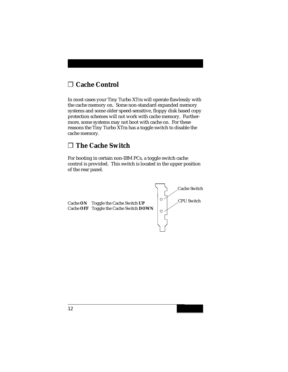### <span id="page-14-0"></span>❐ **Cache Control**

In most cases your Tiny Turbo XTra will operate flawlessly with the cache memory on. Some non-standard expanded memory systems and some older speed-sensitive, floppy disk based copy protection schemes will not work with cache memory. Furthermore, some systems may not boot with cache on. For these reasons the Tiny Turbo XTra has a toggle switch to disable the cache memory.

#### ❐ **The Cache Switch**

For booting in certain non-IBM PCs, a toggle switch cache control is provided. This switch is located in the upper position of the rear panel.

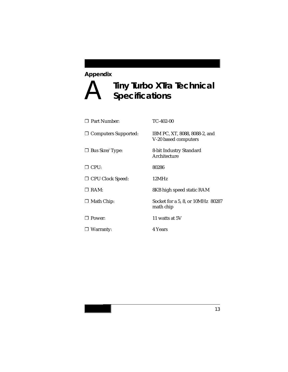#### <span id="page-15-0"></span>**Appendix**

# A **Tiny Turbo XTra Technical Specifications**

| <b>7</b> Part Number:       | $TC-402-00$                                           |
|-----------------------------|-------------------------------------------------------|
| $\Box$ Computers Supported: | IBM PC, XT, 8088, 8088-2, and<br>V-20 based computers |
| $\Box$ Bus Size/Type:       | 8-bit Industry Standard<br>Architecture               |
| $\sqcap$ CPU:               | 80286                                                 |
| □ CPU Clock Speed:          | 12MHz                                                 |
| $\Box$ RAM:                 | 8KB high speed static RAM                             |
| $\Box$ Math Chip:           | Socket for a 5, 8, or 10MHz 80287<br>math chip        |
| $\Box$ Power:               | 11 watts at 5V                                        |
| $\Box$ Warranty:            | 4 Years                                               |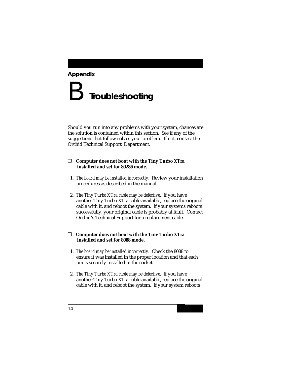#### <span id="page-16-0"></span>**Appendix**

# B **Troubleshooting**

Should you run into any problems with your system, chances are the solution is contained within this section. See if any of the suggestions that follow solves your problem. If not, contact the Orchid Technical Support Department.

#### ❐ **Computer does not boot with the Tiny Turbo XTra installed and set for 80286 mode.**

- 1. *The board may be installed incorrectly.* Review your installation procedures as described in the manual.
- 2. *The Tiny Turbo XTra cable may be defective.* If you have another Tiny Turbo XTra cable available, replace the original cable with it, and reboot the system. If your systems reboots successfully, your original cable is probably at fault. Contact Orchid's Technical Support for a replacement cable.

#### ❐ **Computer does not boot with the Tiny Turbo XTra installed and set for 8088 mode.**

- 1. *The board may be installed incorrectly.* Check the 8088 to ensure it was installed in the proper location and that each pin is securely installed in the socket.
- 2. *The Tiny Turbo XTra cable may be defective.* If you have another Tiny Turbo XTra cable available, replace the original cable with it, and reboot the system. If your system reboots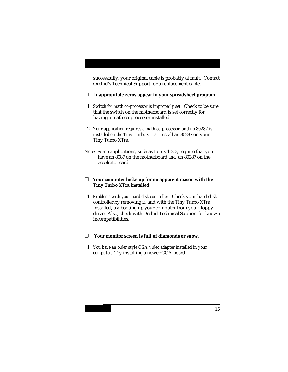successfully, your original cable is probably at fault. Contact Orchid's Technical Support for a replacement cable.

#### ❐ **Inappropriate zeros appear in your spreadsheet program**

- 1. *Switch for math co-processor is improperly set.* Check to be sure that the switch on the motherboard is set correctly for having a math co-processor installed.
- 2. *Your application requires a math co-processor, and no 80287 is installed on the Tiny Turbo XTra.* Install an 80287 on your Tiny Turbo XTra.
- *Note:* Some applications, such as Lotus 1-2-3, require that you have an 8087 on the motherboard *and* an 80287 on the accelrator card.

#### ❐ **Your computer locks up for no apparent reason with the Tiny Turbo XTra installed.**

 1. *Problems with your hard disk controller.* Check your hard disk controller by removing it, and with the Tiny Turbo XTra installed, try booting up your computer from your floppy drive. Also, check with Orchid Technical Support for known incompatibilities.

#### ❐ **Your monitor screen is full of diamonds or snow.**

 1. *You have an older style CGA video adapter installed in your computer.* Try installing a newer CGA board.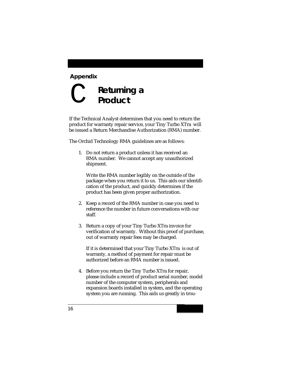#### <span id="page-18-0"></span>**Appendix**

# C **Returning a Product**

If the Technical Analyst determines that you need to return the product for warranty repair service, your Tiny Turbo XTra will be issued a Return Merchandise Authorization (RMA) number.

The Orchid Technology RMA guidelines are as follows:

 1. Do not return a product unless it has received an RMA number. We cannot accept any unauthorized shipment.

Write the RMA number legibly on the outside of the package when you return it to us. This aids our identification of the product, and quickly determines if the product has been given proper authorization.

- 2. Keep a record of the RMA number in case you need to reference the number in future conversations with our staff.
- 3. Return a copy of your Tiny Turbo XTra invoice for verification of warranty. Without this proof of purchase, out of warranty repair fees may be charged.

If it is determined that your Tiny Turbo XTra is out of warranty, a method of payment for repair must be authorized before an RMA number is issued.

 4. Before you return the Tiny Turbo XTra for repair, please include a record of product serial number, model number of the computer system, peripherals and expansion boards installed in system, and the operating system you are running. This aids us greatly in trou-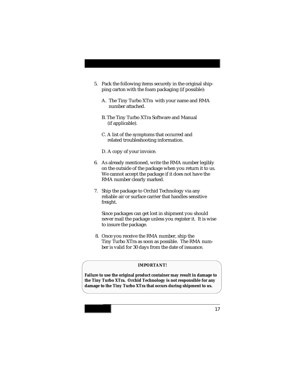- 5. Pack the following items securely in the original shipping carton with the foam packaging (if possible):
	- A. The Tiny Turbo XTra with your name and RMA number attached.
	- B. The Tiny Turbo XTra Software and Manual (if applicable).
	- C. A list of the symptoms that occurred and related troubleshooting information.
	- D. A copy of your invoice.
- 6. As already mentioned, write the RMA number legibly on the outside of the package when you return it to us. We cannot accept the package if it does not have the RMA number clearly marked.
- 7. Ship the package to Orchid Technology via any reliable air or surface carrier that handles sensitive freight.

Since packages can get lost in shipment you should never mail the package unless you register it. It is wise to insure the package.

 8. Once you receive the RMA number, ship the Tiny Turbo XTra as soon as possible. The RMA number is valid for 30 days from the date of issuance.

#### **IMPORTANT!**

**Failure to use the original product container may result in damage to the Tiny Turbo XTra. Orchid Technology is not responsible for any damage to the Tiny Turbo XTra that occurs during shipment to us.**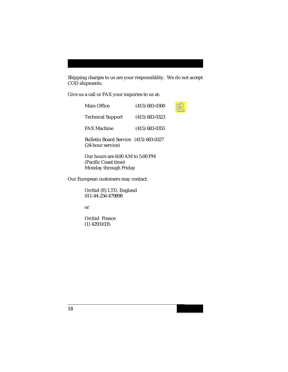Shipping charges to us are your responsibility. We do not accept COD shipments.

Give us a call or FAX your inquiries to us at:

| Main Office                                                | $(415) 683 - 0300$ |
|------------------------------------------------------------|--------------------|
| <b>Technical Support</b>                                   | $(415) 683 - 0323$ |
| <b>FAX Machine</b>                                         | $(415) 683 - 0355$ |
| Bulletin Board Service (415) 683-0327<br>(24-hour service) |                    |
| Our hours are 8:00 AM to 5:00 PM                           |                    |

(Pacific Coast time) Monday through Friday

Our European customers may contact:

Orchid (E) LTD. England 011-44-256-479898

or

Orchid France (1) 42931035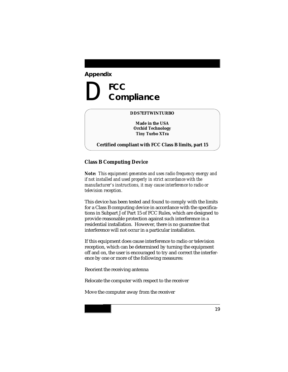# <span id="page-21-0"></span>D FCC<br>Com  **Compliance**

#### **DDS7EFTWINTURBO**

**Made in the USA Orchid Technology Tiny Turbo XTra**

**Certified compliant with FCC Class B limits, part 15**

#### **Class B Computing Device**

*Note: This equipment generates and uses radio frequency energy and if not installed and used properly in strict accordance with the manufacturer's instructions, it may cause interference to radio or television reception.*

This device has been tested and found to comply with the limits for a Class B computing device in accordance with the specifications in Subpart J of Part 15 of FCC Rules, which are designed to provide reasonable protection against such interference in a residential installation. However, there is no guarantee that interference will not occur in a particular installation.

If this equipment does cause interference to radio or television reception, which can be determined by turning the equipment off and on, the user is encouraged to try and correct the interference by one or more of the following measures:

Reorient the receiving antenna

Relocate the computer with respect to the receiver

Move the computer away from the receiver